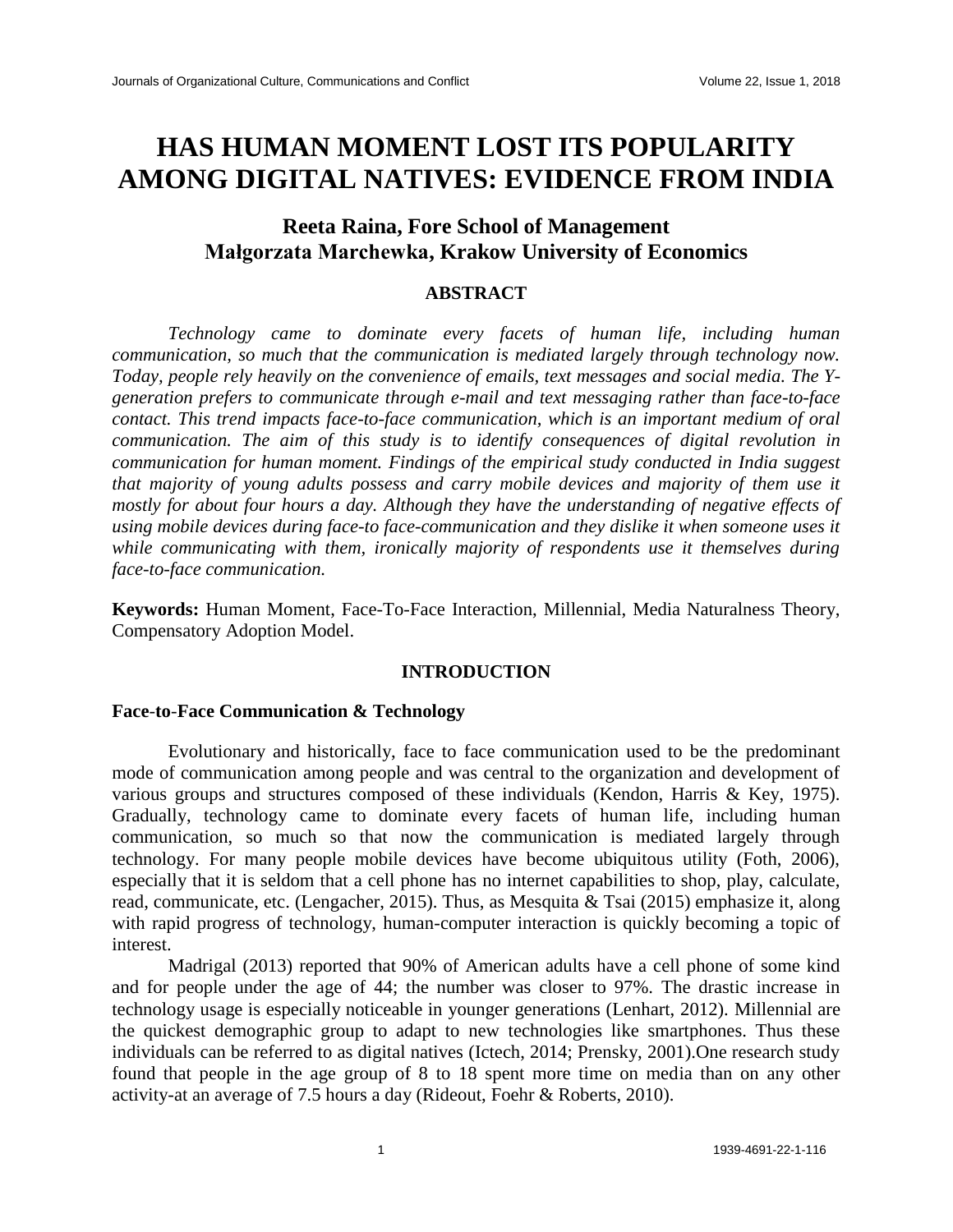# **HAS HUMAN MOMENT LOST ITS POPULARITY AMONG DIGITAL NATIVES: EVIDENCE FROM INDIA**

# **Reeta Raina, Fore School of Management Małgorzata Marchewka, Krakow University of Economics**

# **ABSTRACT**

*Technology came to dominate every facets of human life, including human communication, so much that the communication is mediated largely through technology now. Today, people rely heavily on the convenience of emails, text messages and social media. The Ygeneration prefers to communicate through e-mail and text messaging rather than face-to-face contact. This trend impacts face-to-face communication, which is an important medium of oral communication. The aim of this study is to identify consequences of digital revolution in communication for human moment. Findings of the empirical study conducted in India suggest that majority of young adults possess and carry mobile devices and majority of them use it mostly for about four hours a day. Although they have the understanding of negative effects of using mobile devices during face-to face-communication and they dislike it when someone uses it while communicating with them, ironically majority of respondents use it themselves during face-to-face communication.* 

**Keywords:** Human Moment, Face-To-Face Interaction, Millennial, Media Naturalness Theory, Compensatory Adoption Model.

# **INTRODUCTION**

### **Face**-**to**-**Face Communication & Technology**

Evolutionary and historically, face to face communication used to be the predominant mode of communication among people and was central to the organization and development of various groups and structures composed of these individuals (Kendon, Harris & Key, 1975). Gradually, technology came to dominate every facets of human life, including human communication, so much so that now the communication is mediated largely through technology. For many people mobile devices have become ubiquitous utility (Foth, 2006), especially that it is seldom that a cell phone has no internet capabilities to shop, play, calculate, read, communicate, etc. (Lengacher, 2015). Thus, as Mesquita & Tsai (2015) emphasize it, along with rapid progress of technology, human-computer interaction is quickly becoming a topic of interest.

Madrigal (2013) reported that 90% of American adults have a cell phone of some kind and for people under the age of 44; the number was closer to 97%. The drastic increase in technology usage is especially noticeable in younger generations (Lenhart, 2012). Millennial are the quickest demographic group to adapt to new technologies like smartphones. Thus these individuals can be referred to as digital natives (Ictech, 2014; Prensky, 2001).One research study found that people in the age group of 8 to 18 spent more time on media than on any other activity-at an average of 7.5 hours a day (Rideout, Foehr & Roberts, 2010).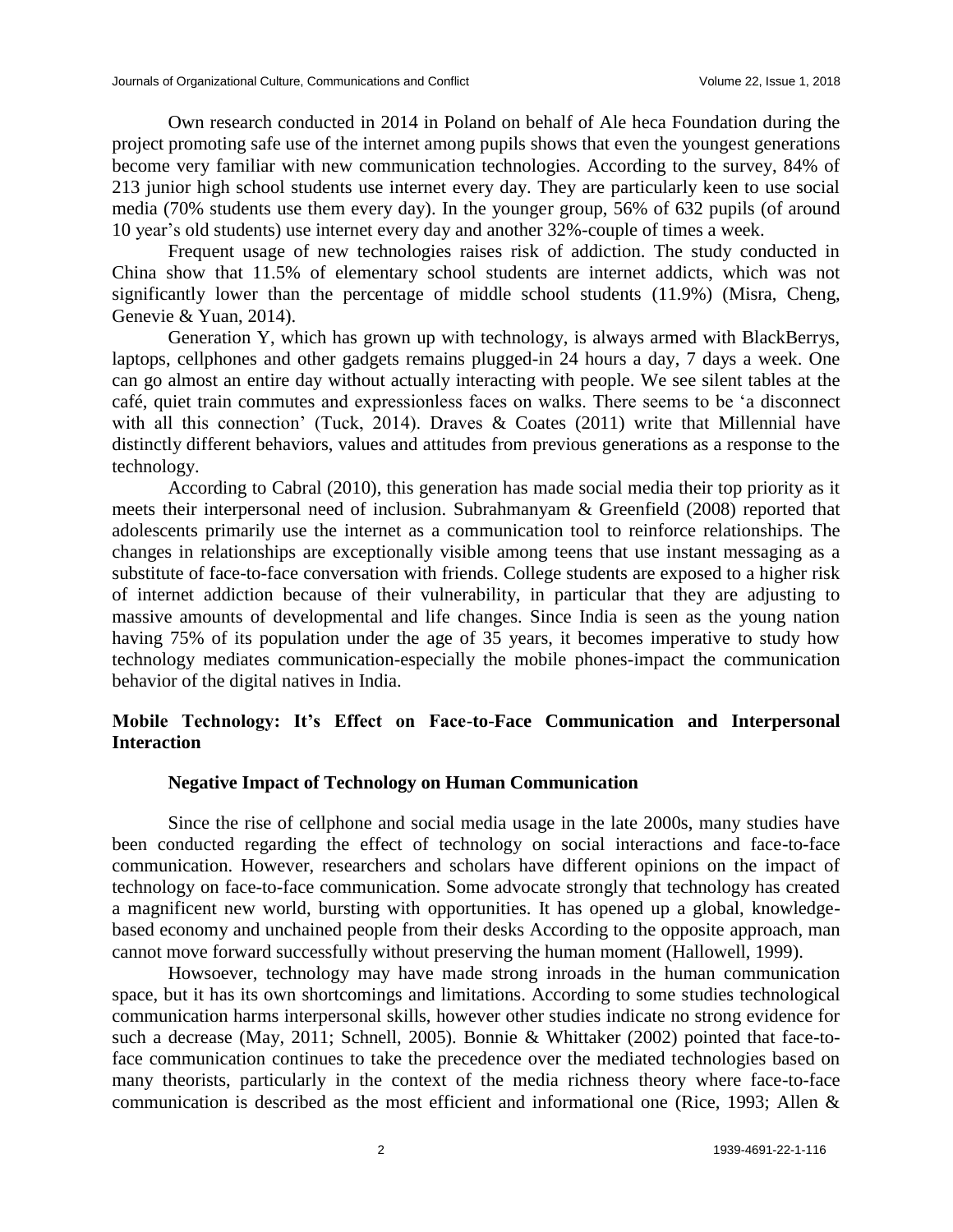Own research conducted in 2014 in Poland on behalf of Ale heca Foundation during the project promoting safe use of the internet among pupils shows that even the youngest generations become very familiar with new communication technologies. According to the survey, 84% of 213 junior high school students use internet every day. They are particularly keen to use social media (70% students use them every day). In the younger group, 56% of 632 pupils (of around 10 year's old students) use internet every day and another 32%-couple of times a week.

Frequent usage of new technologies raises risk of addiction. The study conducted in China show that 11.5% of elementary school students are internet addicts, which was not significantly lower than the percentage of middle school students (11.9%) (Misra, Cheng, Genevie & Yuan, 2014).

Generation Y, which has grown up with technology, is always armed with BlackBerrys, laptops, cellphones and other gadgets remains plugged-in 24 hours a day, 7 days a week. One can go almost an entire day without actually interacting with people. We see silent tables at the café, quiet train commutes and expressionless faces on walks. There seems to be 'a disconnect with all this connection' (Tuck, 2014). Draves  $\&$  Coates (2011) write that Millennial have distinctly different behaviors, values and attitudes from previous generations as a response to the technology.

According to Cabral (2010), this generation has made social media their top priority as it meets their interpersonal need of inclusion. Subrahmanyam & Greenfield (2008) reported that adolescents primarily use the internet as a communication tool to reinforce relationships. The changes in relationships are exceptionally visible among teens that use instant messaging as a substitute of face-to-face conversation with friends. College students are exposed to a higher risk of internet addiction because of their vulnerability, in particular that they are adjusting to massive amounts of developmental and life changes. Since India is seen as the young nation having 75% of its population under the age of 35 years, it becomes imperative to study how technology mediates communication-especially the mobile phones-impact the communication behavior of the digital natives in India.

# **Mobile Technology: It's Effect on Face**-**to**-**Face Communication and Interpersonal Interaction**

# **Negative Impact of Technology on Human Communication**

Since the rise of cellphone and social media usage in the late 2000s, many studies have been conducted regarding the effect of technology on social interactions and face-to-face communication. However, researchers and scholars have different opinions on the impact of technology on face-to-face communication. Some advocate strongly that technology has created a magnificent new world, bursting with opportunities. It has opened up a global, knowledgebased economy and unchained people from their desks According to the opposite approach, man cannot move forward successfully without preserving the human moment (Hallowell, 1999).

Howsoever, technology may have made strong inroads in the human communication space, but it has its own shortcomings and limitations. According to some studies technological communication harms interpersonal skills, however other studies indicate no strong evidence for such a decrease (May, 2011; Schnell, 2005). Bonnie & Whittaker (2002) pointed that face-toface communication continues to take the precedence over the mediated technologies based on many theorists, particularly in the context of the media richness theory where face-to-face communication is described as the most efficient and informational one (Rice, 1993; Allen &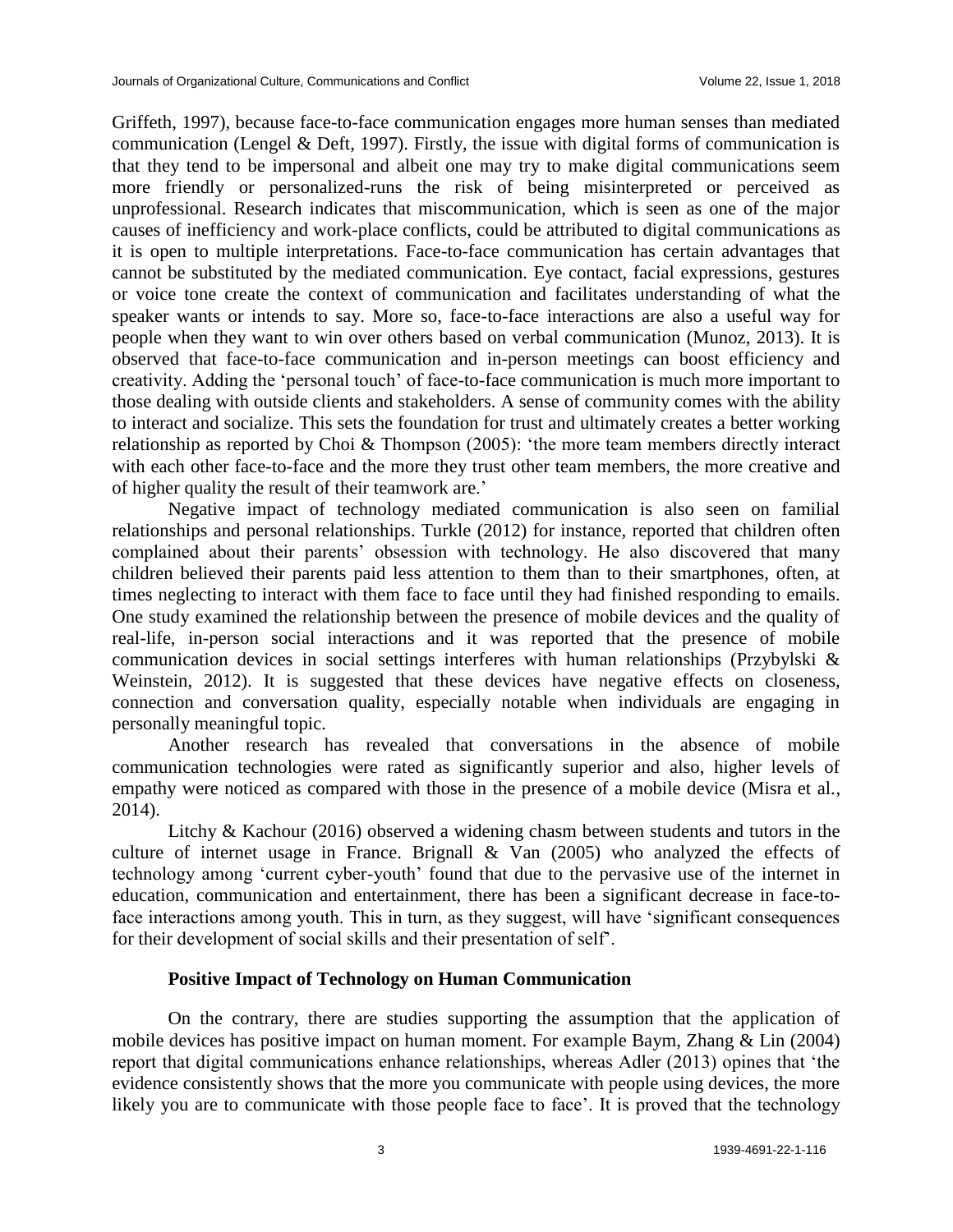Griffeth, 1997), because face-to-face communication engages more human senses than mediated communication (Lengel & Deft, 1997). Firstly, the issue with digital forms of communication is that they tend to be impersonal and albeit one may try to make digital communications seem more friendly or personalized-runs the risk of being misinterpreted or perceived as unprofessional. Research indicates that miscommunication, which is seen as one of the major causes of inefficiency and work-place conflicts, could be attributed to digital communications as it is open to multiple interpretations. Face-to-face communication has certain advantages that cannot be substituted by the mediated communication. Eye contact, facial expressions, gestures or voice tone create the context of communication and facilitates understanding of what the speaker wants or intends to say. More so, face-to-face interactions are also a useful way for people when they want to win over others based on verbal communication (Munoz, 2013). It is observed that face-to-face communication and in-person meetings can boost efficiency and creativity. Adding the 'personal touch' of face-to-face communication is much more important to those dealing with outside clients and stakeholders. A sense of community comes with the ability to interact and socialize. This sets the foundation for trust and ultimately creates a better working relationship as reported by Choi & Thompson (2005): 'the more team members directly interact with each other face-to-face and the more they trust other team members, the more creative and of higher quality the result of their teamwork are.'

Negative impact of technology mediated communication is also seen on familial relationships and personal relationships. Turkle (2012) for instance, reported that children often complained about their parents' obsession with technology. He also discovered that many children believed their parents paid less attention to them than to their smartphones, often, at times neglecting to interact with them face to face until they had finished responding to emails. One study examined the relationship between the presence of mobile devices and the quality of real-life, in-person social interactions and it was reported that the presence of mobile communication devices in social settings interferes with human relationships (Przybylski & Weinstein, 2012). It is suggested that these devices have negative effects on closeness, connection and conversation quality, especially notable when individuals are engaging in personally meaningful topic.

Another research has revealed that conversations in the absence of mobile communication technologies were rated as significantly superior and also, higher levels of empathy were noticed as compared with those in the presence of a mobile device (Misra et al., 2014).

Litchy & Kachour (2016) observed a widening chasm between students and tutors in the culture of internet usage in France. Brignall & Van (2005) who analyzed the effects of technology among 'current cyber-youth' found that due to the pervasive use of the internet in education, communication and entertainment, there has been a significant decrease in face-toface interactions among youth. This in turn, as they suggest, will have 'significant consequences for their development of social skills and their presentation of self'.

# **Positive Impact of Technology on Human Communication**

On the contrary, there are studies supporting the assumption that the application of mobile devices has positive impact on human moment. For example Baym, Zhang & Lin (2004) report that digital communications enhance relationships, whereas Adler (2013) opines that 'the evidence consistently shows that the more you communicate with people using devices, the more likely you are to communicate with those people face to face'. It is proved that the technology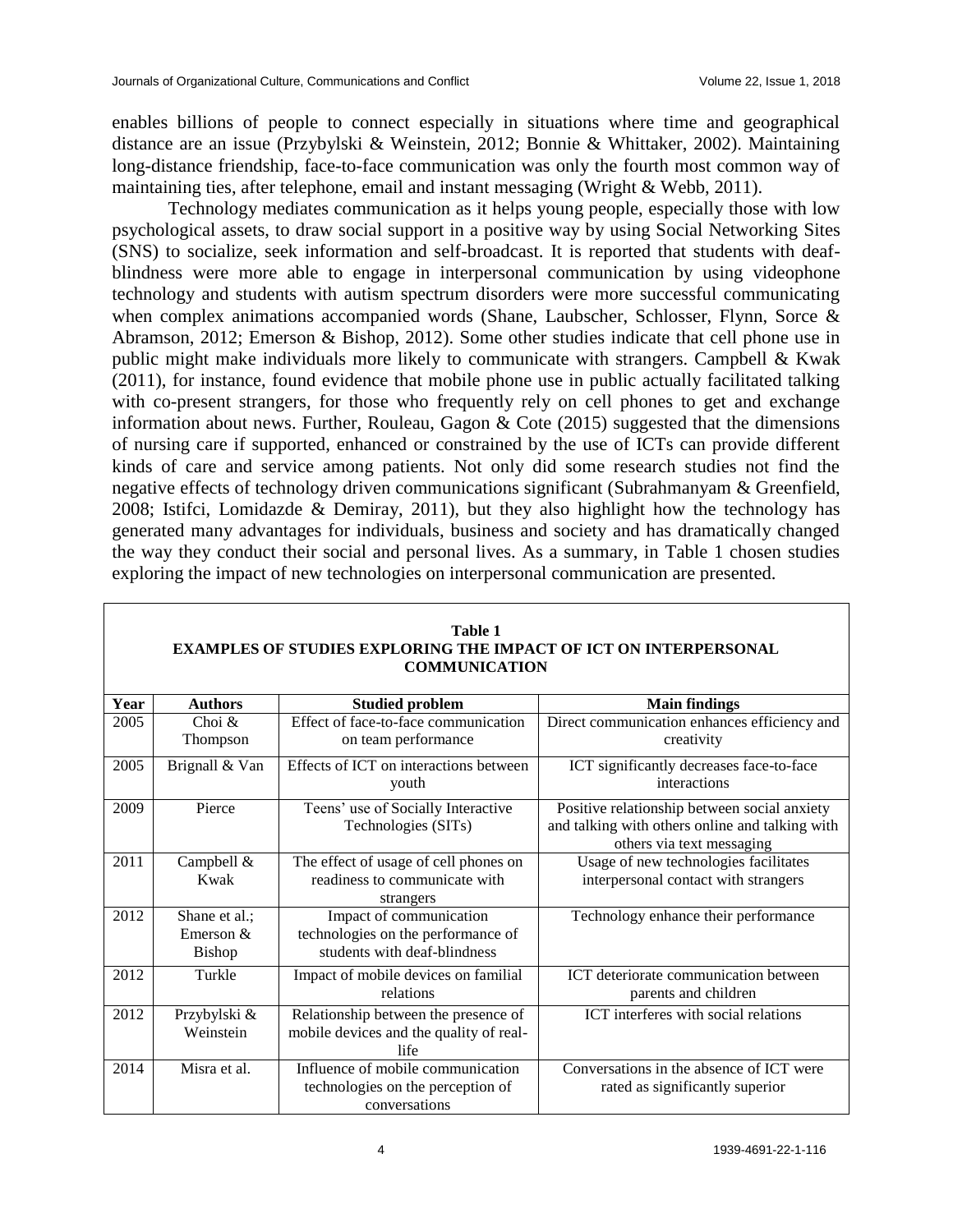enables billions of people to connect especially in situations where time and geographical distance are an issue (Przybylski & Weinstein, 2012; Bonnie & Whittaker, 2002). Maintaining long-distance friendship, face-to-face communication was only the fourth most common way of maintaining ties, after telephone, email and instant messaging (Wright & Webb, 2011).

Technology mediates communication as it helps young people, especially those with low psychological assets, to draw social support in a positive way by using Social Networking Sites (SNS) to socialize, seek information and self-broadcast. It is reported that students with deafblindness were more able to engage in interpersonal communication by using videophone technology and students with autism spectrum disorders were more successful communicating when complex animations accompanied words (Shane, Laubscher, Schlosser, Flynn, Sorce & Abramson, 2012; Emerson & Bishop, 2012). Some other studies indicate that cell phone use in public might make individuals more likely to communicate with strangers. Campbell & Kwak (2011), for instance, found evidence that mobile phone use in public actually facilitated talking with co-present strangers, for those who frequently rely on cell phones to get and exchange information about news. Further, Rouleau, Gagon  $\&$  Cote (2015) suggested that the dimensions of nursing care if supported, enhanced or constrained by the use of ICTs can provide different kinds of care and service among patients. Not only did some research studies not find the negative effects of technology driven communications significant (Subrahmanyam & Greenfield, 2008; Istifci, Lomidazde & Demiray, 2011), but they also highlight how the technology has generated many advantages for individuals, business and society and has dramatically changed the way they conduct their social and personal lives. As a summary, in Table 1 chosen studies exploring the impact of new technologies on interpersonal communication are presented.

| Year | <b>Authors</b> | <b>Studied problem</b>                  | <b>Main findings</b>                            |
|------|----------------|-----------------------------------------|-------------------------------------------------|
| 2005 | Choi $\&$      | Effect of face-to-face communication    | Direct communication enhances efficiency and    |
|      | Thompson       | on team performance                     | creativity                                      |
| 2005 | Brignall & Van | Effects of ICT on interactions between  | ICT significantly decreases face-to-face        |
|      |                | youth                                   | interactions                                    |
| 2009 | Pierce         | Teens' use of Socially Interactive      | Positive relationship between social anxiety    |
|      |                | Technologies (SITs)                     | and talking with others online and talking with |
|      |                |                                         | others via text messaging                       |
| 2011 | Campbell &     | The effect of usage of cell phones on   | Usage of new technologies facilitates           |
|      | Kwak           | readiness to communicate with           | interpersonal contact with strangers            |
|      |                | strangers                               |                                                 |
| 2012 | Shane et al.;  | Impact of communication                 | Technology enhance their performance            |
|      | Emerson $&$    | technologies on the performance of      |                                                 |
|      | Bishop         | students with deaf-blindness            |                                                 |
| 2012 | Turkle         | Impact of mobile devices on familial    | ICT deteriorate communication between           |
|      |                | relations                               | parents and children                            |
| 2012 | Przybylski &   | Relationship between the presence of    | ICT interferes with social relations            |
|      | Weinstein      | mobile devices and the quality of real- |                                                 |
|      |                | life                                    |                                                 |
| 2014 | Misra et al.   | Influence of mobile communication       | Conversations in the absence of ICT were        |
|      |                | technologies on the perception of       | rated as significantly superior                 |
|      |                | conversations                           |                                                 |

#### **Table 1 EXAMPLES OF STUDIES EXPLORING THE IMPACT OF ICT ON INTERPERSONAL COMMUNICATION**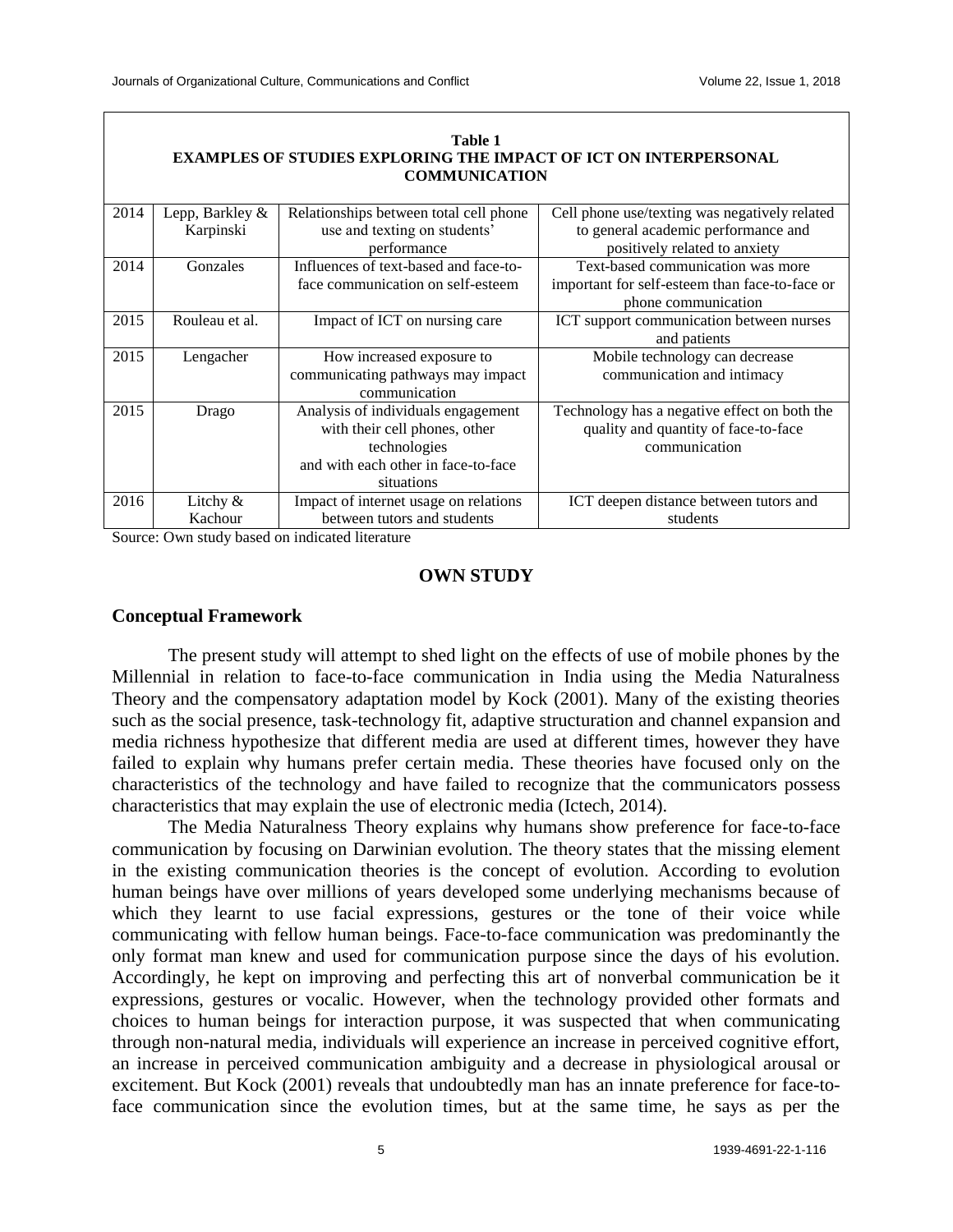|                                                                         |                      | Table 1                                |                                                |  |  |  |  |  |  |  |
|-------------------------------------------------------------------------|----------------------|----------------------------------------|------------------------------------------------|--|--|--|--|--|--|--|
| <b>EXAMPLES OF STUDIES EXPLORING THE IMPACT OF ICT ON INTERPERSONAL</b> |                      |                                        |                                                |  |  |  |  |  |  |  |
|                                                                         | <b>COMMUNICATION</b> |                                        |                                                |  |  |  |  |  |  |  |
|                                                                         |                      |                                        |                                                |  |  |  |  |  |  |  |
| 2014                                                                    | Lepp, Barkley &      | Relationships between total cell phone | Cell phone use/texting was negatively related  |  |  |  |  |  |  |  |
|                                                                         | Karpinski            | use and texting on students'           | to general academic performance and            |  |  |  |  |  |  |  |
|                                                                         |                      | performance                            | positively related to anxiety                  |  |  |  |  |  |  |  |
| 2014                                                                    | Gonzales             | Influences of text-based and face-to-  | Text-based communication was more              |  |  |  |  |  |  |  |
|                                                                         |                      | face communication on self-esteem      | important for self-esteem than face-to-face or |  |  |  |  |  |  |  |
|                                                                         |                      |                                        | phone communication                            |  |  |  |  |  |  |  |
| 2015                                                                    | Rouleau et al.       | Impact of ICT on nursing care          | ICT support communication between nurses       |  |  |  |  |  |  |  |
|                                                                         |                      |                                        | and patients                                   |  |  |  |  |  |  |  |
| 2015                                                                    | Lengacher            | How increased exposure to              | Mobile technology can decrease                 |  |  |  |  |  |  |  |
|                                                                         |                      | communicating pathways may impact      | communication and intimacy                     |  |  |  |  |  |  |  |
|                                                                         |                      | communication                          |                                                |  |  |  |  |  |  |  |
| 2015                                                                    | Drago                | Analysis of individuals engagement     | Technology has a negative effect on both the   |  |  |  |  |  |  |  |
|                                                                         |                      | with their cell phones, other          | quality and quantity of face-to-face           |  |  |  |  |  |  |  |
|                                                                         |                      | technologies                           | communication                                  |  |  |  |  |  |  |  |
|                                                                         |                      | and with each other in face-to-face    |                                                |  |  |  |  |  |  |  |
|                                                                         |                      | situations                             |                                                |  |  |  |  |  |  |  |
| 2016                                                                    | Litchy $&$           | Impact of internet usage on relations  | ICT deepen distance between tutors and         |  |  |  |  |  |  |  |
|                                                                         | Kachour              | between tutors and students            | students                                       |  |  |  |  |  |  |  |

Source: Own study based on indicated literature

# **OWN STUDY**

# **Conceptual Framework**

The present study will attempt to shed light on the effects of use of mobile phones by the Millennial in relation to face-to-face communication in India using the Media Naturalness Theory and the compensatory adaptation model by Kock (2001). Many of the existing theories such as the social presence, task-technology fit, adaptive structuration and channel expansion and media richness hypothesize that different media are used at different times, however they have failed to explain why humans prefer certain media. These theories have focused only on the characteristics of the technology and have failed to recognize that the communicators possess characteristics that may explain the use of electronic media (Ictech, 2014).

The Media Naturalness Theory explains why humans show preference for face-to-face communication by focusing on Darwinian evolution. The theory states that the missing element in the existing communication theories is the concept of evolution. According to evolution human beings have over millions of years developed some underlying mechanisms because of which they learnt to use facial expressions, gestures or the tone of their voice while communicating with fellow human beings. Face-to-face communication was predominantly the only format man knew and used for communication purpose since the days of his evolution. Accordingly, he kept on improving and perfecting this art of nonverbal communication be it expressions, gestures or vocalic. However, when the technology provided other formats and choices to human beings for interaction purpose, it was suspected that when communicating through non-natural media, individuals will experience an increase in perceived cognitive effort, an increase in perceived communication ambiguity and a decrease in physiological arousal or excitement. But Kock (2001) reveals that undoubtedly man has an innate preference for face-toface communication since the evolution times, but at the same time, he says as per the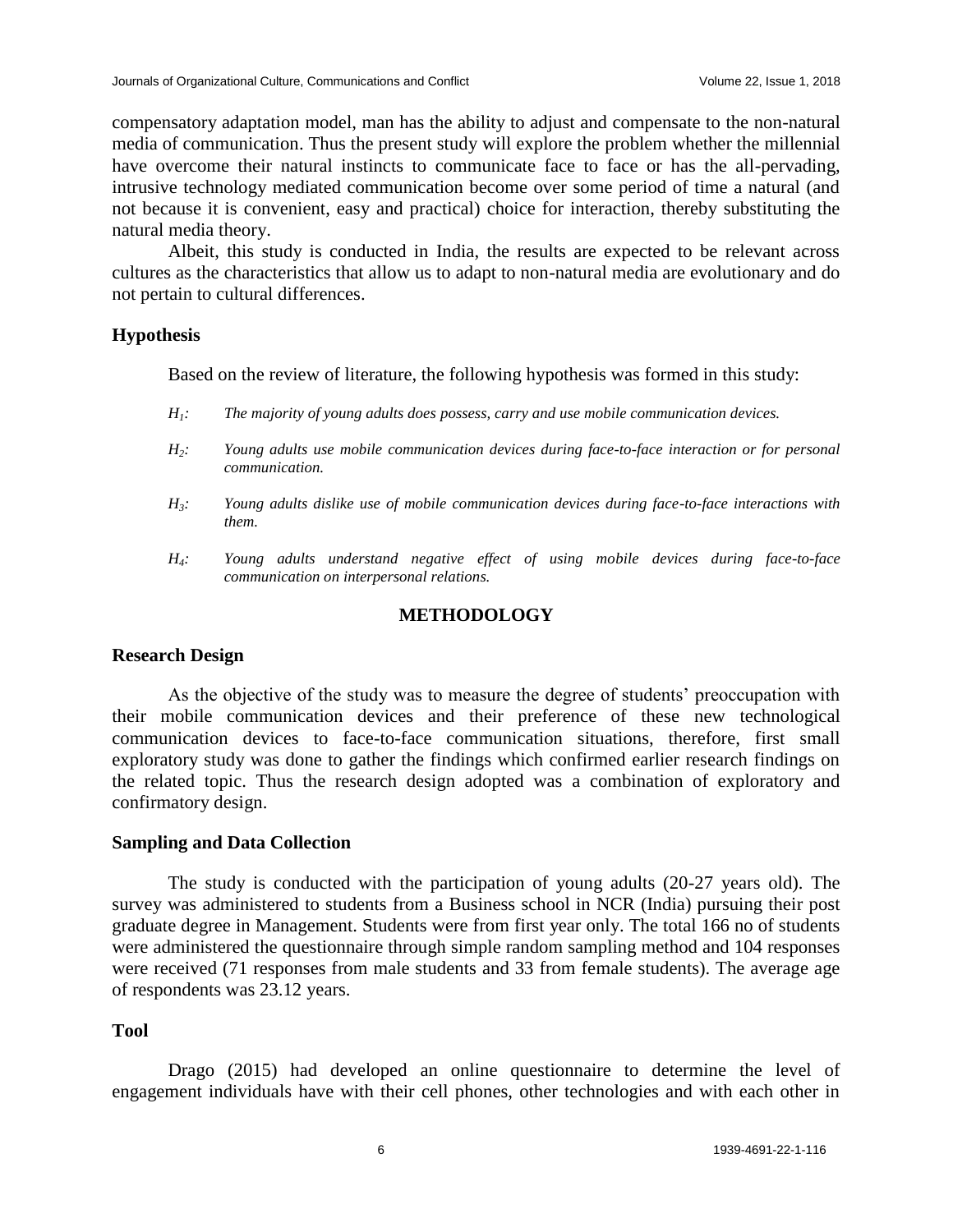compensatory adaptation model, man has the ability to adjust and compensate to the non-natural media of communication. Thus the present study will explore the problem whether the millennial have overcome their natural instincts to communicate face to face or has the all-pervading, intrusive technology mediated communication become over some period of time a natural (and not because it is convenient, easy and practical) choice for interaction, thereby substituting the natural media theory.

Albeit, this study is conducted in India, the results are expected to be relevant across cultures as the characteristics that allow us to adapt to non-natural media are evolutionary and do not pertain to cultural differences.

### **Hypothesis**

Based on the review of literature, the following hypothesis was formed in this study:

- *H1: The majority of young adults does possess, carry and use mobile communication devices.*
- *H2: Young adults use mobile communication devices during face-to-face interaction or for personal communication.*
- *H3: Young adults dislike use of mobile communication devices during face-to-face interactions with them.*
- *H4: Young adults understand negative effect of using mobile devices during face-to-face communication on interpersonal relations.*

# **METHODOLOGY**

### **Research Design**

As the objective of the study was to measure the degree of students' preoccupation with their mobile communication devices and their preference of these new technological communication devices to face-to-face communication situations, therefore, first small exploratory study was done to gather the findings which confirmed earlier research findings on the related topic. Thus the research design adopted was a combination of exploratory and confirmatory design.

# **Sampling and Data Collection**

The study is conducted with the participation of young adults (20-27 years old). The survey was administered to students from a Business school in NCR (India) pursuing their post graduate degree in Management. Students were from first year only. The total 166 no of students were administered the questionnaire through simple random sampling method and 104 responses were received (71 responses from male students and 33 from female students). The average age of respondents was 23.12 years.

# **Tool**

Drago (2015) had developed an online questionnaire to determine the level of engagement individuals have with their cell phones, other technologies and with each other in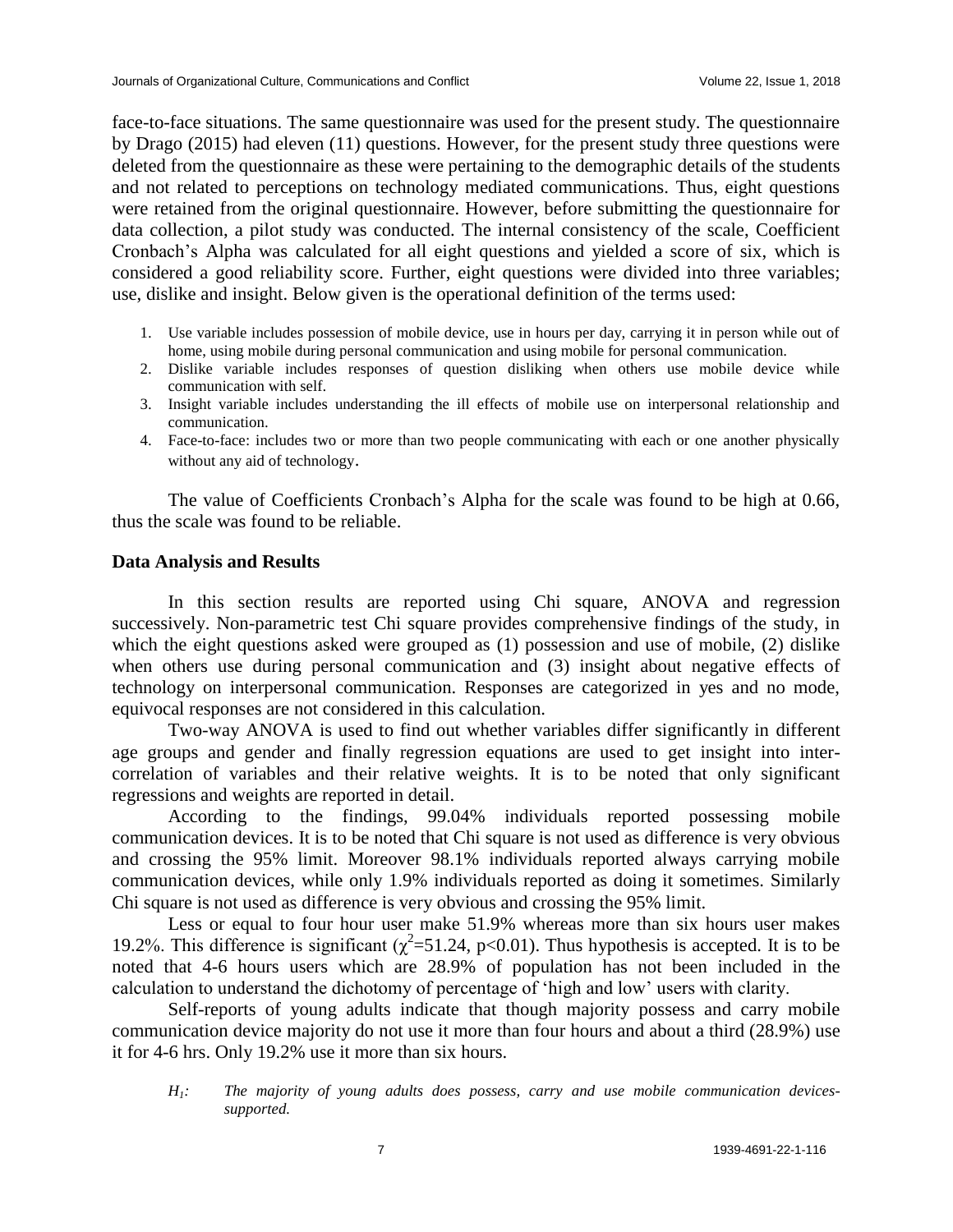face-to-face situations. The same questionnaire was used for the present study. The questionnaire by Drago (2015) had eleven (11) questions. However, for the present study three questions were deleted from the questionnaire as these were pertaining to the demographic details of the students and not related to perceptions on technology mediated communications. Thus, eight questions were retained from the original questionnaire. However, before submitting the questionnaire for data collection, a pilot study was conducted. The internal consistency of the scale, Coefficient Cronbach's Alpha was calculated for all eight questions and yielded a score of six, which is considered a good reliability score. Further, eight questions were divided into three variables; use, dislike and insight. Below given is the operational definition of the terms used:

- 1. Use variable includes possession of mobile device, use in hours per day, carrying it in person while out of home, using mobile during personal communication and using mobile for personal communication.
- 2. Dislike variable includes responses of question disliking when others use mobile device while communication with self.
- 3. Insight variable includes understanding the ill effects of mobile use on interpersonal relationship and communication.
- 4. Face-to-face: includes two or more than two people communicating with each or one another physically without any aid of technology.

The value of Coefficients Cronbach's Alpha for the scale was found to be high at 0.66, thus the scale was found to be reliable.

#### **Data Analysis and Results**

In this section results are reported using Chi square, ANOVA and regression successively. Non-parametric test Chi square provides comprehensive findings of the study, in which the eight questions asked were grouped as (1) possession and use of mobile, (2) dislike when others use during personal communication and (3) insight about negative effects of technology on interpersonal communication. Responses are categorized in yes and no mode, equivocal responses are not considered in this calculation.

Two-way ANOVA is used to find out whether variables differ significantly in different age groups and gender and finally regression equations are used to get insight into intercorrelation of variables and their relative weights. It is to be noted that only significant regressions and weights are reported in detail.

According to the findings, 99.04% individuals reported possessing mobile communication devices. It is to be noted that Chi square is not used as difference is very obvious and crossing the 95% limit. Moreover 98.1% individuals reported always carrying mobile communication devices, while only 1.9% individuals reported as doing it sometimes. Similarly Chi square is not used as difference is very obvious and crossing the 95% limit.

Less or equal to four hour user make 51.9% whereas more than six hours user makes 19.2%. This difference is significant ( $\chi^2$ =51.24, p<0.01). Thus hypothesis is accepted. It is to be noted that 4-6 hours users which are 28.9% of population has not been included in the calculation to understand the dichotomy of percentage of 'high and low' users with clarity.

Self-reports of young adults indicate that though majority possess and carry mobile communication device majority do not use it more than four hours and about a third (28.9%) use it for 4-6 hrs. Only 19.2% use it more than six hours.

*H1: The majority of young adults does possess, carry and use mobile communication devicessupported.*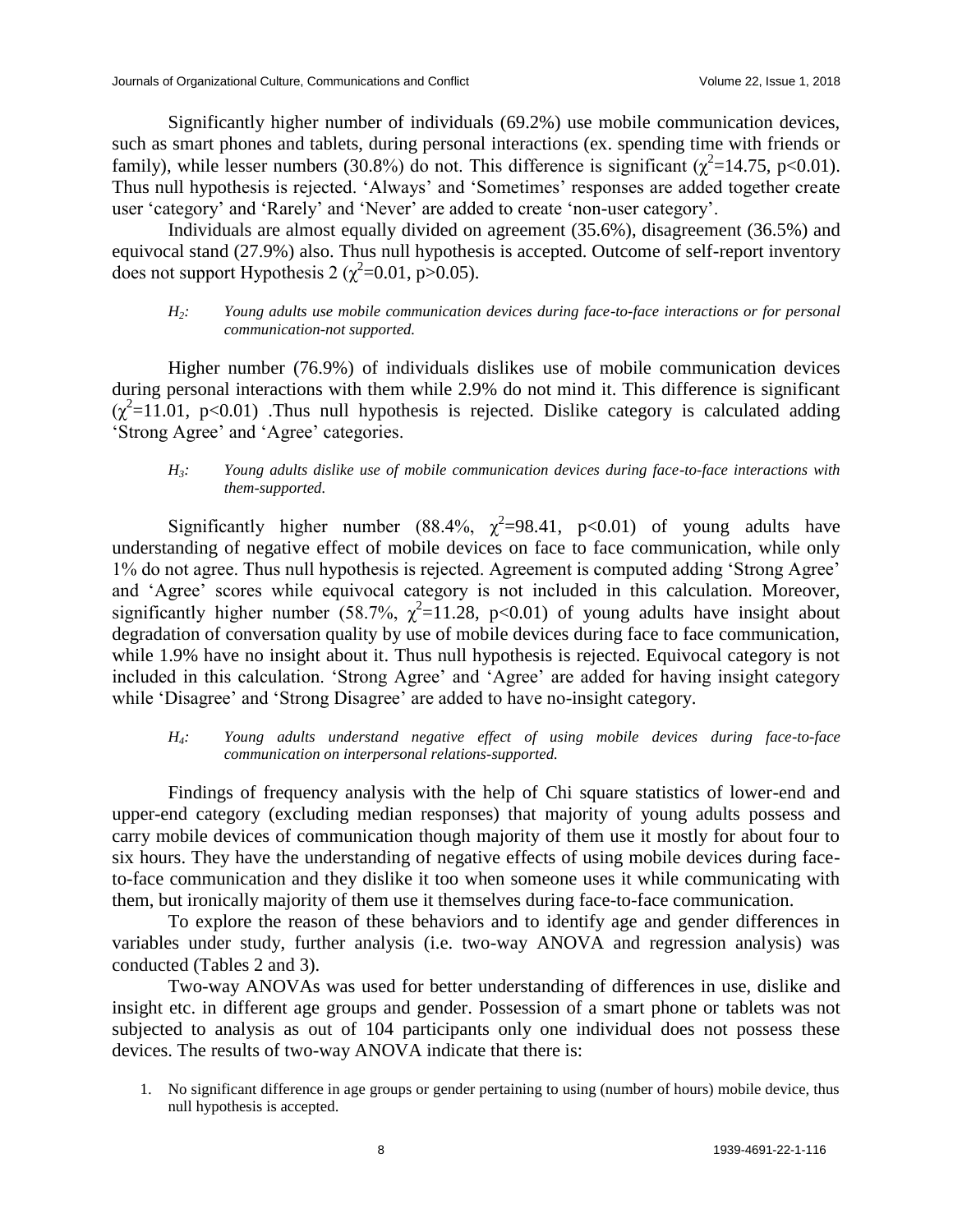Significantly higher number of individuals (69.2%) use mobile communication devices, such as smart phones and tablets, during personal interactions (ex. spending time with friends or family), while lesser numbers (30.8%) do not. This difference is significant ( $\chi^2$ =14.75, p<0.01). Thus null hypothesis is rejected. 'Always' and 'Sometimes' responses are added together create user 'category' and 'Rarely' and 'Never' are added to create 'non-user category'.

Individuals are almost equally divided on agreement (35.6%), disagreement (36.5%) and equivocal stand (27.9%) also. Thus null hypothesis is accepted. Outcome of self-report inventory does not support Hypothesis 2 ( $\chi^2$ =0.01, p>0.05).

*H2: Young adults use mobile communication devices during face-to-face interactions or for personal communication-not supported.*

Higher number (76.9%) of individuals dislikes use of mobile communication devices during personal interactions with them while 2.9% do not mind it. This difference is significant  $(\chi^2=11.01, p<0.01)$  Thus null hypothesis is rejected. Dislike category is calculated adding 'Strong Agree' and 'Agree' categories.

#### *H3: Young adults dislike use of mobile communication devices during face-to-face interactions with them-supported.*

Significantly higher number (88.4%,  $\chi^2$ =98.41, p<0.01) of young adults have understanding of negative effect of mobile devices on face to face communication, while only 1% do not agree. Thus null hypothesis is rejected. Agreement is computed adding 'Strong Agree' and 'Agree' scores while equivocal category is not included in this calculation. Moreover, significantly higher number (58.7%,  $\chi^2$ =11.28, p<0.01) of young adults have insight about degradation of conversation quality by use of mobile devices during face to face communication, while 1.9% have no insight about it. Thus null hypothesis is rejected. Equivocal category is not included in this calculation. 'Strong Agree' and 'Agree' are added for having insight category while 'Disagree' and 'Strong Disagree' are added to have no-insight category.

### *H4: Young adults understand negative effect of using mobile devices during face-to-face communication on interpersonal relations-supported.*

Findings of frequency analysis with the help of Chi square statistics of lower-end and upper-end category (excluding median responses) that majority of young adults possess and carry mobile devices of communication though majority of them use it mostly for about four to six hours. They have the understanding of negative effects of using mobile devices during faceto-face communication and they dislike it too when someone uses it while communicating with them, but ironically majority of them use it themselves during face-to-face communication.

To explore the reason of these behaviors and to identify age and gender differences in variables under study, further analysis (i.e. two-way ANOVA and regression analysis) was conducted (Tables 2 and 3).

Two-way ANOVAs was used for better understanding of differences in use, dislike and insight etc. in different age groups and gender. Possession of a smart phone or tablets was not subjected to analysis as out of 104 participants only one individual does not possess these devices. The results of two-way ANOVA indicate that there is:

1. No significant difference in age groups or gender pertaining to using (number of hours) mobile device, thus null hypothesis is accepted.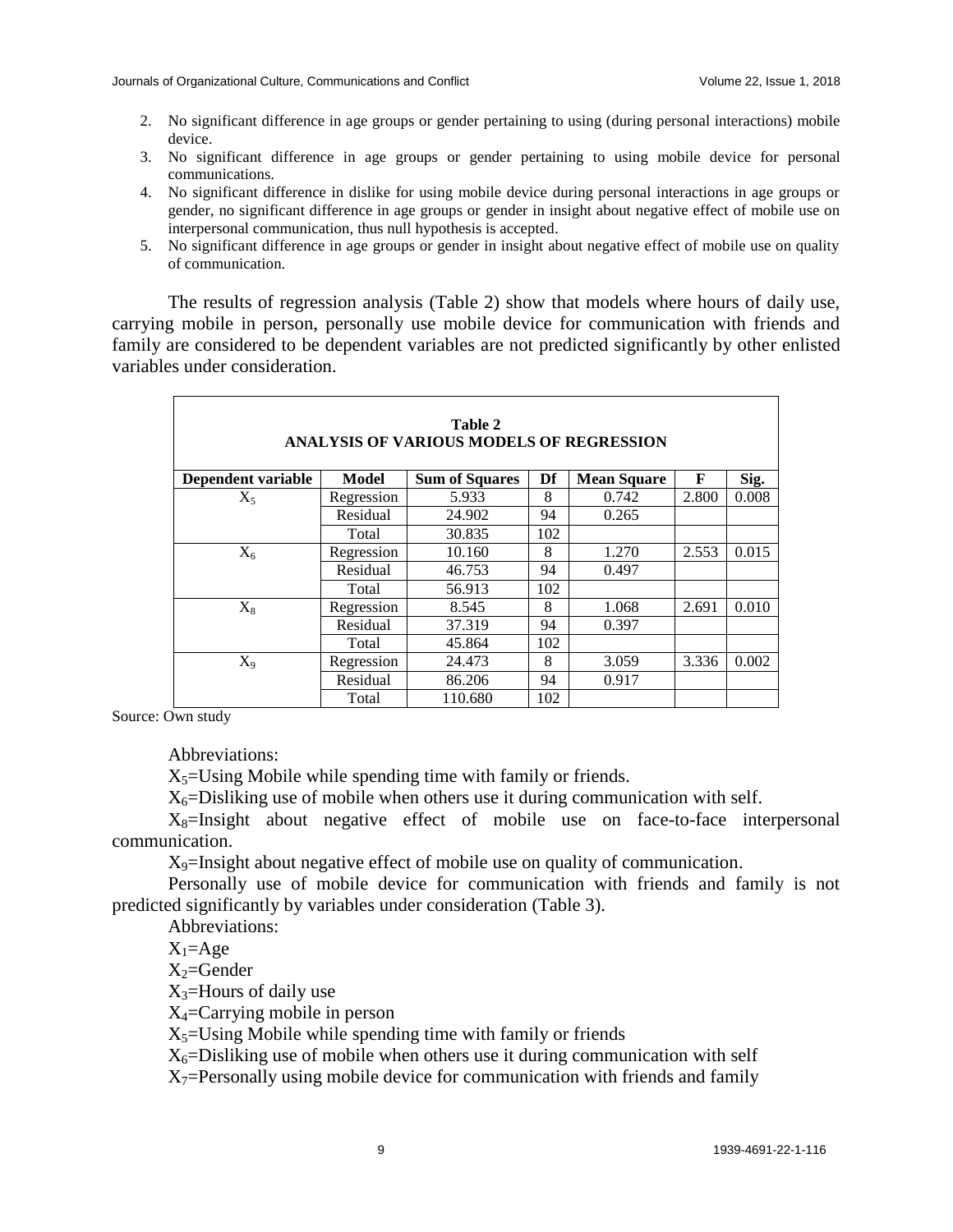- 2. No significant difference in age groups or gender pertaining to using (during personal interactions) mobile device.
- 3. No significant difference in age groups or gender pertaining to using mobile device for personal communications.
- 4. No significant difference in dislike for using mobile device during personal interactions in age groups or gender, no significant difference in age groups or gender in insight about negative effect of mobile use on interpersonal communication, thus null hypothesis is accepted.
- 5. No significant difference in age groups or gender in insight about negative effect of mobile use on quality of communication.

The results of regression analysis (Table 2) show that models where hours of daily use, carrying mobile in person, personally use mobile device for communication with friends and family are considered to be dependent variables are not predicted significantly by other enlisted variables under consideration.

| Table 2<br>ANALYSIS OF VARIOUS MODELS OF REGRESSION |            |                       |     |                    |       |       |  |  |  |
|-----------------------------------------------------|------------|-----------------------|-----|--------------------|-------|-------|--|--|--|
| Dependent variable                                  | Model      | <b>Sum of Squares</b> | Df  | <b>Mean Square</b> | F     | Sig.  |  |  |  |
| $X_5$                                               | Regression | 5.933                 | 8   | 0.742              | 2.800 | 0.008 |  |  |  |
|                                                     | Residual   | 24.902                | 94  | 0.265              |       |       |  |  |  |
|                                                     | Total      | 30.835                | 102 |                    |       |       |  |  |  |
| $X_6$                                               | Regression | 10.160                | 8   | 1.270              | 2.553 | 0.015 |  |  |  |
|                                                     | Residual   | 46.753                | 94  | 0.497              |       |       |  |  |  |
|                                                     | Total      | 56.913                | 102 |                    |       |       |  |  |  |
| $X_8$                                               | Regression | 8.545                 | 8   | 1.068              | 2.691 | 0.010 |  |  |  |
|                                                     | Residual   | 37.319                | 94  | 0.397              |       |       |  |  |  |
|                                                     | Total      | 45.864                | 102 |                    |       |       |  |  |  |
| $X_9$                                               | Regression | 24.473                | 8   | 3.059              | 3.336 | 0.002 |  |  |  |
|                                                     | Residual   | 86.206                | 94  | 0.917              |       |       |  |  |  |
|                                                     | Total      | 110.680               | 102 |                    |       |       |  |  |  |

Source: Own study

Abbreviations:

 $X_5$ =Using Mobile while spending time with family or friends.

 $X_6$ =Disliking use of mobile when others use it during communication with self.

 $X_8$ =Insight about negative effect of mobile use on face-to-face interpersonal communication.

 $X_9$ =Insight about negative effect of mobile use on quality of communication.

Personally use of mobile device for communication with friends and family is not predicted significantly by variables under consideration (Table 3).

Abbreviations:

 $X_1 = Age$ 

 $X_2$ =Gender

 $X_3$ =Hours of daily use

X4=Carrying mobile in person

 $X_5$ =Using Mobile while spending time with family or friends

 $X_6$ =Disliking use of mobile when others use it during communication with self

 $X_7$ =Personally using mobile device for communication with friends and family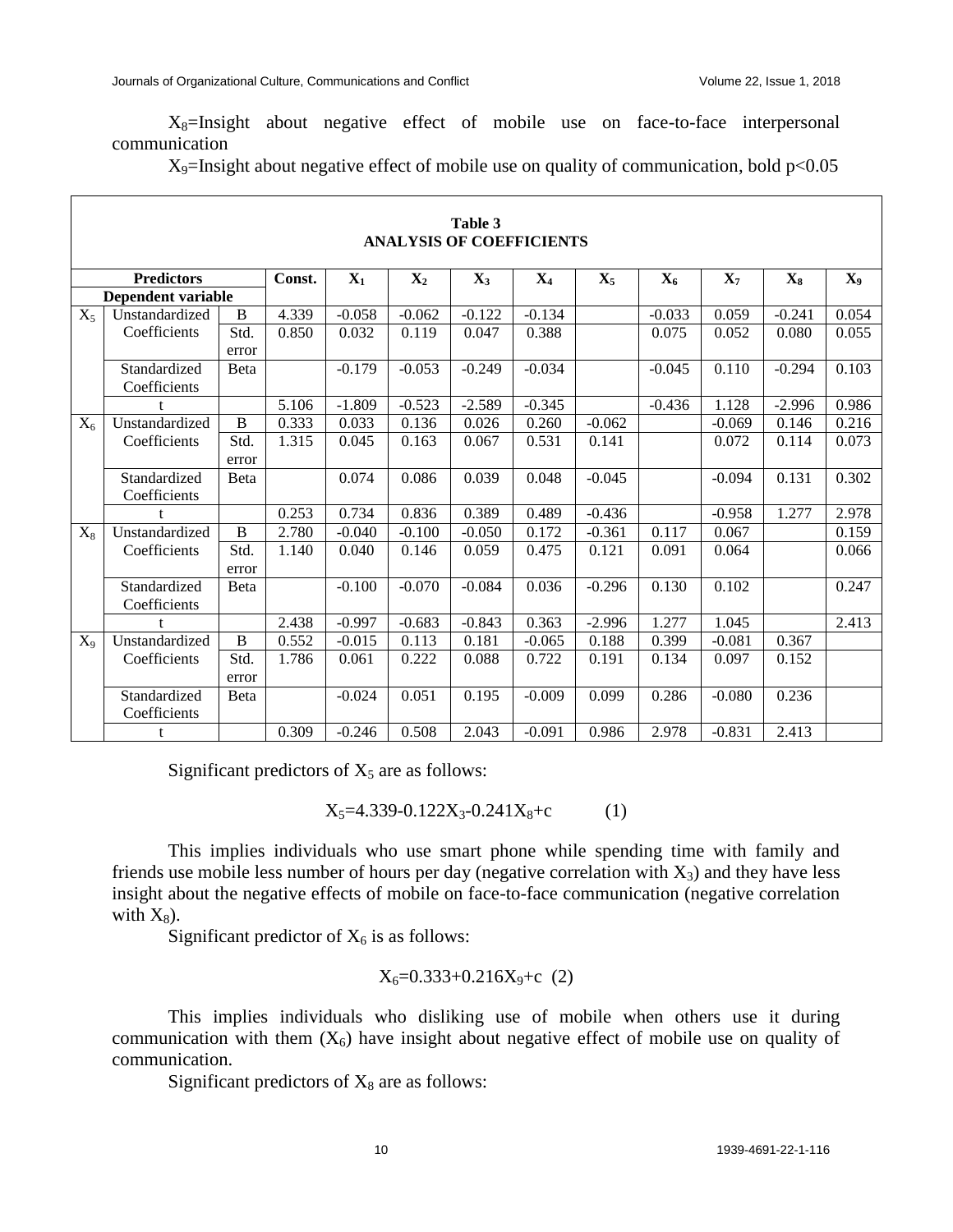$X_8$ =Insight about negative effect of mobile use on face-to-face interpersonal communication

 $X_9$ =Insight about negative effect of mobile use on quality of communication, bold  $p<0.05$ 

|                    | Table 3<br><b>ANALYSIS OF COEFFICIENTS</b> |                |        |          |                |                |                |                |                |                |          |       |
|--------------------|--------------------------------------------|----------------|--------|----------|----------------|----------------|----------------|----------------|----------------|----------------|----------|-------|
| <b>Predictors</b>  |                                            |                | Const. | $X_1$    | $\mathbf{X}_2$ | $\mathbf{X}_3$ | $\mathbf{X}_4$ | $\mathbf{X}_5$ | $\mathbf{X}_6$ | $\mathbf{X}_7$ | $X_8$    | $X_9$ |
| Dependent variable |                                            |                |        |          |                |                |                |                |                |                |          |       |
| $X_5$              | Unstandardized                             | B              | 4.339  | $-0.058$ | $-0.062$       | $-0.122$       | $-0.134$       |                | $-0.033$       | 0.059          | $-0.241$ | 0.054 |
|                    | Coefficients                               | Std.           | 0.850  | 0.032    | 0.119          | 0.047          | 0.388          |                | 0.075          | 0.052          | 0.080    | 0.055 |
|                    |                                            | error          |        |          |                |                |                |                |                |                |          |       |
|                    | Standardized<br>Coefficients               | <b>B</b> eta   |        | $-0.179$ | $-0.053$       | $-0.249$       | $-0.034$       |                | $-0.045$       | 0.110          | $-0.294$ | 0.103 |
|                    | t                                          |                | 5.106  | $-1.809$ | $-0.523$       | $-2.589$       | $-0.345$       |                | $-0.436$       | 1.128          | $-2.996$ | 0.986 |
| $X_6$              | Unstandardized                             | $\overline{B}$ | 0.333  | 0.033    | 0.136          | 0.026          | 0.260          | $-0.062$       |                | $-0.069$       | 0.146    | 0.216 |
|                    | Coefficients                               | Std.           | 1.315  | 0.045    | 0.163          | 0.067          | 0.531          | 0.141          |                | 0.072          | 0.114    | 0.073 |
|                    |                                            | error          |        |          |                |                |                |                |                |                |          |       |
|                    | Standardized<br>Coefficients               | <b>B</b> eta   |        | 0.074    | 0.086          | 0.039          | 0.048          | $-0.045$       |                | $-0.094$       | 0.131    | 0.302 |
|                    |                                            |                | 0.253  | 0.734    | 0.836          | 0.389          | 0.489          | $-0.436$       |                | $-0.958$       | 1.277    | 2.978 |
| $X_8$              | Unstandardized                             | $\overline{B}$ | 2.780  | $-0.040$ | $-0.100$       | $-0.050$       | 0.172          | $-0.361$       | 0.117          | 0.067          |          | 0.159 |
|                    | Coefficients                               | Std.           | 1.140  | 0.040    | 0.146          | 0.059          | 0.475          | 0.121          | 0.091          | 0.064          |          | 0.066 |
|                    |                                            | error          |        |          |                |                |                |                |                |                |          |       |
|                    | Standardized<br>Coefficients               | <b>B</b> eta   |        | $-0.100$ | $-0.070$       | $-0.084$       | 0.036          | $-0.296$       | 0.130          | 0.102          |          | 0.247 |
|                    |                                            |                | 2.438  | $-0.997$ | $-0.683$       | $-0.843$       | 0.363          | $-2.996$       | 1.277          | 1.045          |          | 2.413 |
| $X_9$              | Unstandardized                             | $\, {\bf B}$   | 0.552  | $-0.015$ | 0.113          | 0.181          | $-0.065$       | 0.188          | 0.399          | $-0.081$       | 0.367    |       |
|                    | Coefficients                               | Std.           | 1.786  | 0.061    | 0.222          | 0.088          | 0.722          | 0.191          | 0.134          | 0.097          | 0.152    |       |
|                    |                                            | error          |        |          |                |                |                |                |                |                |          |       |
|                    | Standardized                               | Beta           |        | $-0.024$ | 0.051          | 0.195          | $-0.009$       | 0.099          | 0.286          | $-0.080$       | 0.236    |       |
|                    | Coefficients                               |                |        |          |                |                |                |                |                |                |          |       |
|                    | t                                          |                | 0.309  | $-0.246$ | 0.508          | 2.043          | $-0.091$       | 0.986          | 2.978          | $-0.831$       | 2.413    |       |

Significant predictors of  $X_5$  are as follows:

 $X_5 = 4.339 - 0.122X_3 - 0.241X_8 + c$  (1)

This implies individuals who use smart phone while spending time with family and friends use mobile less number of hours per day (negative correlation with  $X_3$ ) and they have less insight about the negative effects of mobile on face-to-face communication (negative correlation with  $X_8$ ).

Significant predictor of  $X_6$  is as follows:

$$
X_6 = 0.333 + 0.216X_9 + c \quad (2)
$$

This implies individuals who disliking use of mobile when others use it during communication with them  $(X_6)$  have insight about negative effect of mobile use on quality of communication.

Significant predictors of  $X_8$  are as follows: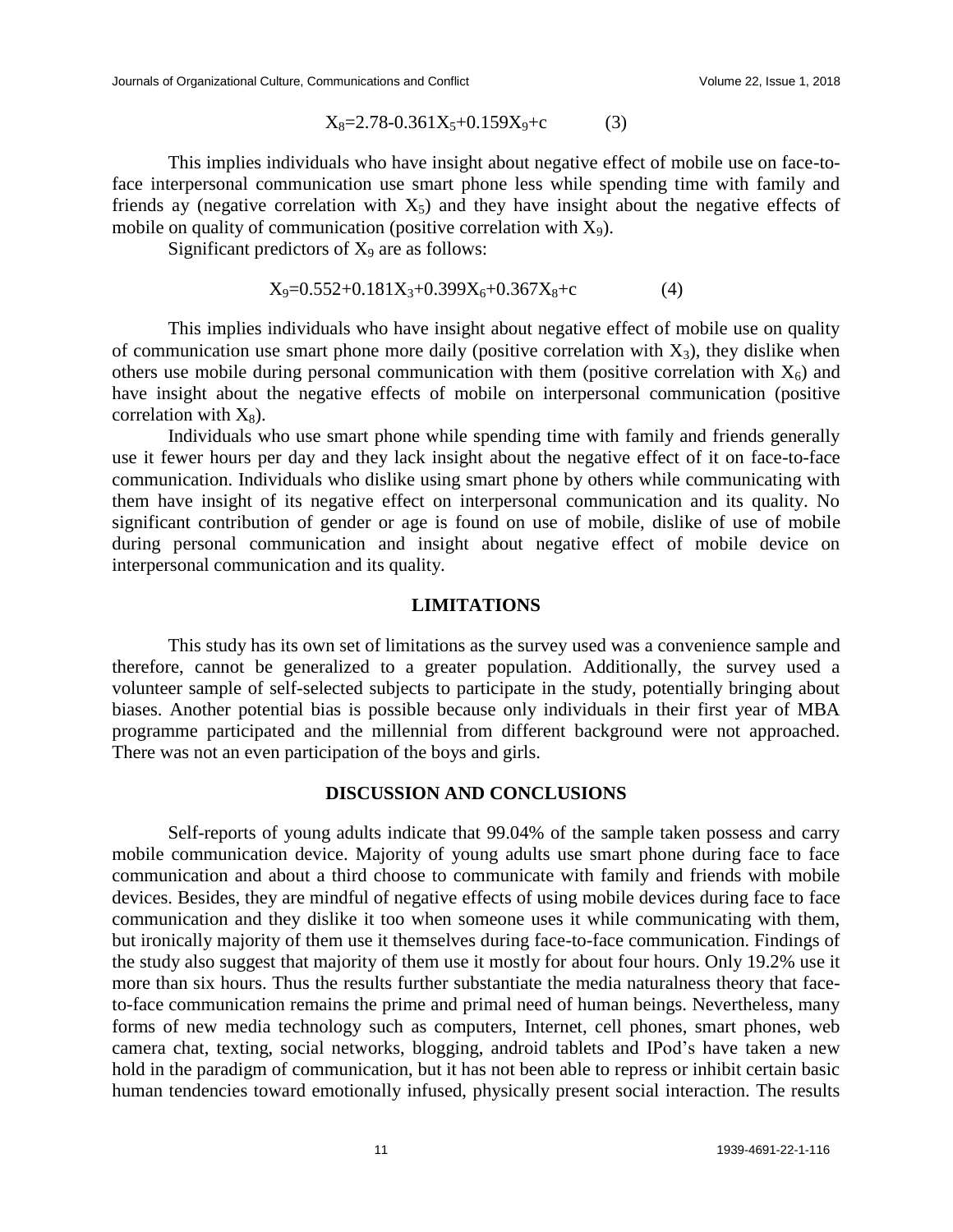$$
X_8=2.78-0.361X_5+0.159X_9+c
$$
 (3)

This implies individuals who have insight about negative effect of mobile use on face-toface interpersonal communication use smart phone less while spending time with family and friends ay (negative correlation with  $X_5$ ) and they have insight about the negative effects of mobile on quality of communication (positive correlation with  $X_9$ ).

Significant predictors of  $X_9$  are as follows:

$$
X_9=0.552+0.181X_3+0.399X_6+0.367X_8+c
$$
 (4)

This implies individuals who have insight about negative effect of mobile use on quality of communication use smart phone more daily (positive correlation with  $X_3$ ), they dislike when others use mobile during personal communication with them (positive correlation with  $X_6$ ) and have insight about the negative effects of mobile on interpersonal communication (positive correlation with  $X_8$ ).

Individuals who use smart phone while spending time with family and friends generally use it fewer hours per day and they lack insight about the negative effect of it on face-to-face communication. Individuals who dislike using smart phone by others while communicating with them have insight of its negative effect on interpersonal communication and its quality. No significant contribution of gender or age is found on use of mobile, dislike of use of mobile during personal communication and insight about negative effect of mobile device on interpersonal communication and its quality.

#### **LIMITATIONS**

This study has its own set of limitations as the survey used was a convenience sample and therefore, cannot be generalized to a greater population. Additionally, the survey used a volunteer sample of self-selected subjects to participate in the study, potentially bringing about biases. Another potential bias is possible because only individuals in their first year of MBA programme participated and the millennial from different background were not approached. There was not an even participation of the boys and girls.

#### **DISCUSSION AND CONCLUSIONS**

Self-reports of young adults indicate that 99.04% of the sample taken possess and carry mobile communication device. Majority of young adults use smart phone during face to face communication and about a third choose to communicate with family and friends with mobile devices. Besides, they are mindful of negative effects of using mobile devices during face to face communication and they dislike it too when someone uses it while communicating with them, but ironically majority of them use it themselves during face-to-face communication. Findings of the study also suggest that majority of them use it mostly for about four hours. Only 19.2% use it more than six hours. Thus the results further substantiate the media naturalness theory that faceto-face communication remains the prime and primal need of human beings. Nevertheless, many forms of new media technology such as computers, Internet, cell phones, smart phones, web camera chat, texting, social networks, blogging, android tablets and IPod's have taken a new hold in the paradigm of communication, but it has not been able to repress or inhibit certain basic human tendencies toward emotionally infused, physically present social interaction. The results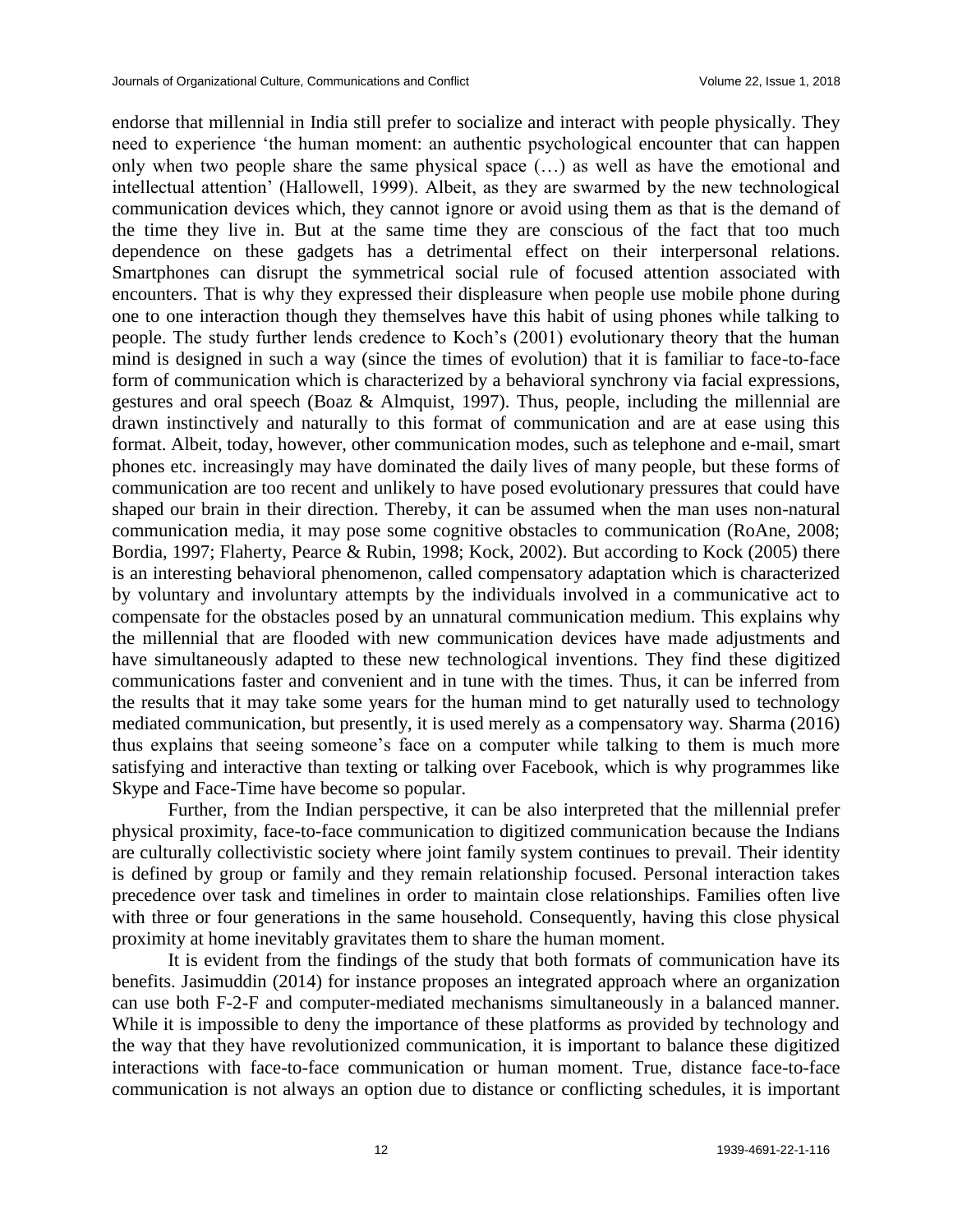endorse that millennial in India still prefer to socialize and interact with people physically. They need to experience 'the human moment: an authentic psychological encounter that can happen only when two people share the same physical space (…) as well as have the emotional and intellectual attention' (Hallowell, 1999). Albeit, as they are swarmed by the new technological communication devices which, they cannot ignore or avoid using them as that is the demand of the time they live in. But at the same time they are conscious of the fact that too much dependence on these gadgets has a detrimental effect on their interpersonal relations. Smartphones can disrupt the symmetrical social rule of focused attention associated with encounters. That is why they expressed their displeasure when people use mobile phone during one to one interaction though they themselves have this habit of using phones while talking to people. The study further lends credence to Koch's (2001) evolutionary theory that the human mind is designed in such a way (since the times of evolution) that it is familiar to face-to-face form of communication which is characterized by a behavioral synchrony via facial expressions, gestures and oral speech (Boaz & Almquist, 1997). Thus, people, including the millennial are drawn instinctively and naturally to this format of communication and are at ease using this format. Albeit, today, however, other communication modes, such as telephone and e-mail, smart phones etc. increasingly may have dominated the daily lives of many people, but these forms of communication are too recent and unlikely to have posed evolutionary pressures that could have shaped our brain in their direction. Thereby, it can be assumed when the man uses non-natural communication media, it may pose some cognitive obstacles to communication (RoAne, 2008; Bordia, 1997; Flaherty, Pearce & Rubin, 1998; Kock, 2002). But according to Kock (2005) there is an interesting behavioral phenomenon, called compensatory adaptation which is characterized by voluntary and involuntary attempts by the individuals involved in a communicative act to compensate for the obstacles posed by an unnatural communication medium. This explains why the millennial that are flooded with new communication devices have made adjustments and have simultaneously adapted to these new technological inventions. They find these digitized communications faster and convenient and in tune with the times. Thus, it can be inferred from the results that it may take some years for the human mind to get naturally used to technology mediated communication, but presently, it is used merely as a compensatory way. Sharma (2016) thus explains that seeing someone's face on a computer while talking to them is much more satisfying and interactive than texting or talking over Facebook, which is why programmes like Skype and Face-Time have become so popular.

Further, from the Indian perspective, it can be also interpreted that the millennial prefer physical proximity, face-to-face communication to digitized communication because the Indians are culturally collectivistic society where joint family system continues to prevail. Their identity is defined by group or family and they remain relationship focused. Personal interaction takes precedence over task and timelines in order to maintain close relationships. Families often live with three or four generations in the same household. Consequently, having this close physical proximity at home inevitably gravitates them to share the human moment.

It is evident from the findings of the study that both formats of communication have its benefits. Jasimuddin (2014) for instance proposes an integrated approach where an organization can use both F-2-F and computer-mediated mechanisms simultaneously in a balanced manner. While it is impossible to deny the importance of these platforms as provided by technology and the way that they have revolutionized communication, it is important to balance these digitized interactions with face-to-face communication or human moment. True, distance face-to-face communication is not always an option due to distance or conflicting schedules, it is important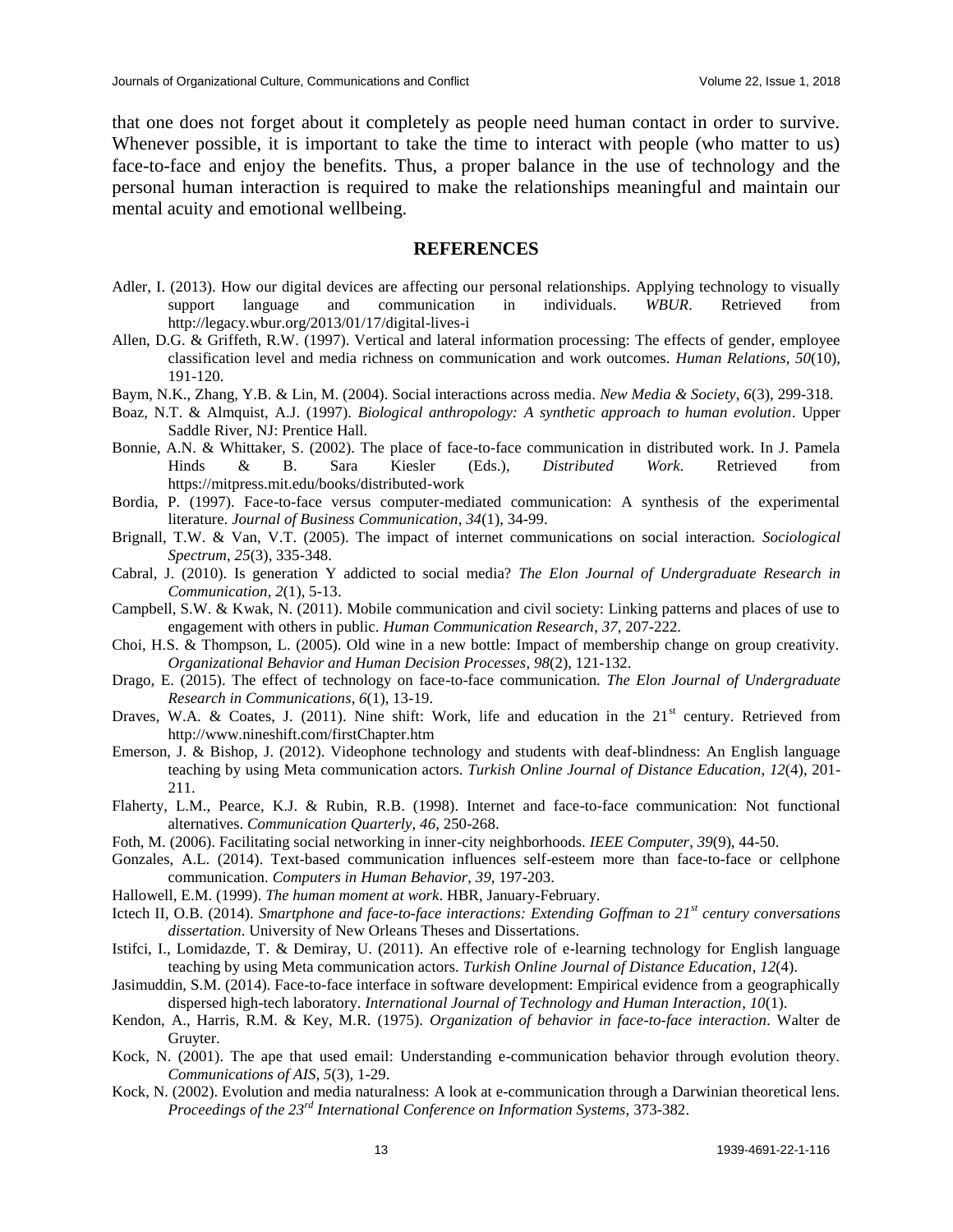that one does not forget about it completely as people need human contact in order to survive. Whenever possible, it is important to take the time to interact with people (who matter to us) face-to-face and enjoy the benefits. Thus, a proper balance in the use of technology and the personal human interaction is required to make the relationships meaningful and maintain our mental acuity and emotional wellbeing.

#### **REFERENCES**

- Adler, I. (2013). How our digital devices are affecting our personal relationships. Applying technology to visually support language and communication in individuals. *WBUR*. Retrieved from http://legacy.wbur.org/2013/01/17/digital-lives-i
- Allen, D.G. & Griffeth, R.W. (1997). Vertical and lateral information processing: The effects of gender, employee classification level and media richness on communication and work outcomes. *Human Relations*, *50*(10), 191-120.
- Baym, N.K., Zhang, Y.B. & Lin, M. (2004). Social interactions across media. *New Media & Society*, *6*(3), 299-318.
- Boaz, N.T. & Almquist, A.J. (1997). *Biological anthropology: A synthetic approach to human evolution*. Upper Saddle River, NJ: Prentice Hall.
- Bonnie, A.N. & Whittaker, S. (2002). The place of face-to-face communication in distributed work. In J. Pamela Hinds & B. Sara Kiesler (Eds.), *Distributed Work*. Retrieved from https://mitpress.mit.edu/books/distributed-work
- Bordia, P. (1997). Face-to-face versus computer-mediated communication: A synthesis of the experimental literature. *Journal of Business Communication*, *34*(1), 34-99.
- Brignall, T.W. & Van, V.T. (2005). The impact of internet communications on social interaction. *Sociological Spectrum*, *25*(3), 335-348.
- Cabral, J. (2010). Is generation Y addicted to social media? *The Elon Journal of Undergraduate Research in Communication*, *2*(1), 5-13.
- Campbell, S.W. & Kwak, N. (2011). Mobile communication and civil society: Linking patterns and places of use to engagement with others in public. *Human Communication Research*, *37*, 207-222.
- Choi, H.S. & Thompson, L. (2005). Old wine in a new bottle: Impact of membership change on group creativity. *Organizational Behavior and Human Decision Processes*, *98*(2), 121-132.
- Drago, E. (2015). The effect of technology on face-to-face communication. *The Elon Journal of Undergraduate Research in Communications*, *6*(1), 13-19.
- Draves, W.A. & Coates, J. (2011). Nine shift: Work, life and education in the 21<sup>st</sup> century. Retrieved from http://www.nineshift.com/firstChapter.htm
- Emerson, J. & Bishop, J. (2012). Videophone technology and students with deaf-blindness: An English language teaching by using Meta communication actors. *Turkish Online Journal of Distance Education*, *12*(4), 201- 211.
- Flaherty, L.M., Pearce, K.J. & Rubin, R.B. (1998). Internet and face-to-face communication: Not functional alternatives. *Communication Quarterly*, *46*, 250-268.
- Foth, M. (2006). Facilitating social networking in inner-city neighborhoods. *IEEE Computer*, *39*(9), 44-50.
- Gonzales, A.L. (2014). Text-based communication influences self-esteem more than face-to-face or cellphone communication. *Computers in Human Behavior*, *39*, 197-203.
- Hallowell, E.M. (1999). *The human moment at work*. HBR, January-February.
- Ictech II, O.B. (2014). *Smartphone and face-to-face interactions: Extending Goffman to 21st century conversations dissertation*. University of New Orleans Theses and Dissertations.
- Istifci, I., Lomidazde, T. & Demiray, U. (2011). An effective role of e-learning technology for English language teaching by using Meta communication actors. *Turkish Online Journal of Distance Education*, *12*(4).
- Jasimuddin, S.M. (2014). Face-to-face interface in software development: Empirical evidence from a geographically dispersed high-tech laboratory. *International Journal of Technology and Human Interaction*, *10*(1).
- Kendon, A., Harris, R.M. & Key, M.R. (1975). *Organization of behavior in face-to-face interaction*. Walter de Gruyter.
- Kock, N. (2001). The ape that used email: Understanding e-communication behavior through evolution theory. *Communications of AIS*, *5*(3), 1-29.
- Kock, N. (2002). Evolution and media naturalness: A look at e-communication through a Darwinian theoretical lens. *Proceedings of the 23rd International Conference on Information Systems*, 373-382.